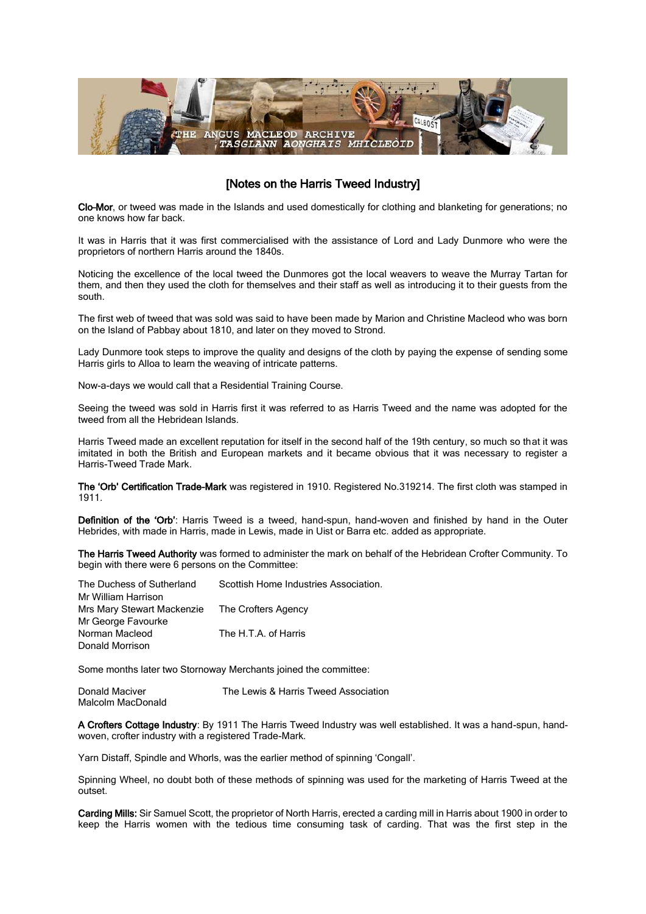

# [Notes on the Harris Tweed Industry]

Clo–Mor, or tweed was made in the Islands and used domestically for clothing and blanketing for generations; no one knows how far back.

It was in Harris that it was first commercialised with the assistance of Lord and Lady Dunmore who were the proprietors of northern Harris around the 1840s.

Noticing the excellence of the local tweed the Dunmores got the local weavers to weave the Murray Tartan for them, and then they used the cloth for themselves and their staff as well as introducing it to their guests from the south.

The first web of tweed that was sold was said to have been made by Marion and Christine Macleod who was born on the Island of Pabbay about 1810, and later on they moved to Strond.

Lady Dunmore took steps to improve the quality and designs of the cloth by paying the expense of sending some Harris girls to Alloa to learn the weaving of intricate patterns.

Now-a-days we would call that a Residential Training Course.

Seeing the tweed was sold in Harris first it was referred to as Harris Tweed and the name was adopted for the tweed from all the Hebridean Islands.

Harris Tweed made an excellent reputation for itself in the second half of the 19th century, so much so that it was imitated in both the British and European markets and it became obvious that it was necessary to register a Harris-Tweed Trade Mark.

The 'Orb' Certification Trade-Mark was registered in 1910. Registered No.319214. The first cloth was stamped in 1911.

Definition of the 'Orb': Harris Tweed is a tweed, hand-spun, hand-woven and finished by hand in the Outer Hebrides, with made in Harris, made in Lewis, made in Uist or Barra etc. added as appropriate.

The Harris Tweed Authority was formed to administer the mark on behalf of the Hebridean Crofter Community. To begin with there were 6 persons on the Committee:

| The Duchess of Sutherland  | Scottish Home Industries Association. |
|----------------------------|---------------------------------------|
| Mr William Harrison        |                                       |
| Mrs Mary Stewart Mackenzie | The Crofters Agency                   |
| Mr George Favourke         |                                       |
| Norman Macleod             | The H.T.A. of Harris                  |
| Donald Morrison            |                                       |

Some months later two Stornoway Merchants joined the committee:

Donald Maciver The Lewis & Harris Tweed Association Malcolm MacDonald

A Crofters Cottage Industry: By 1911 The Harris Tweed Industry was well established. It was a hand-spun, handwoven, crofter industry with a registered Trade-Mark.

Yarn Distaff, Spindle and Whorls, was the earlier method of spinning 'Congall'.

Spinning Wheel, no doubt both of these methods of spinning was used for the marketing of Harris Tweed at the outset.

Carding Mills: Sir Samuel Scott, the proprietor of North Harris, erected a carding mill in Harris about 1900 in order to keep the Harris women with the tedious time consuming task of carding. That was the first step in the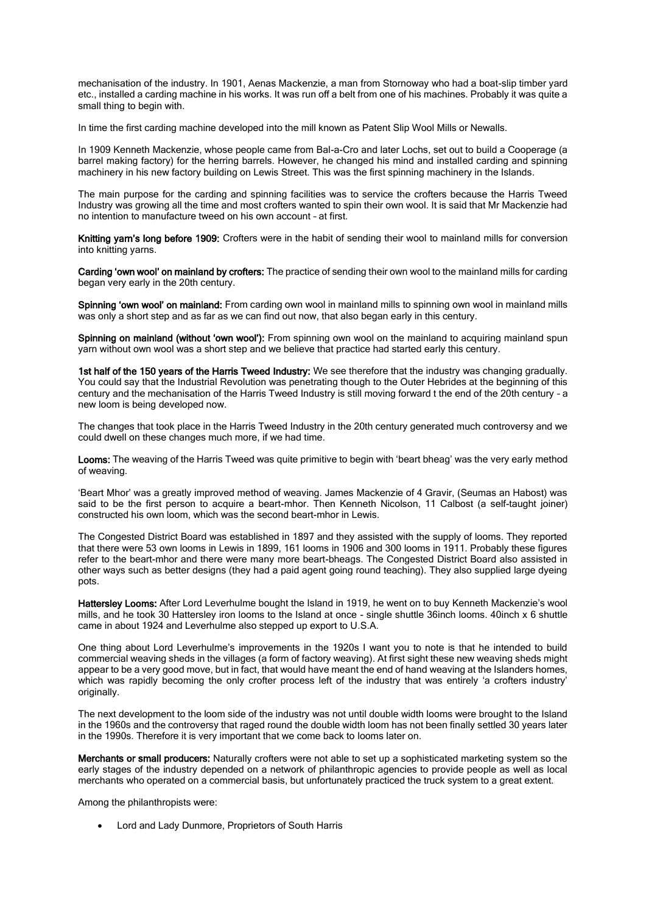mechanisation of the industry. In 1901, Aenas Mackenzie, a man from Stornoway who had a boat-slip timber yard etc., installed a carding machine in his works. It was run off a belt from one of his machines. Probably it was quite a small thing to begin with.

In time the first carding machine developed into the mill known as Patent Slip Wool Mills or Newalls.

In 1909 Kenneth Mackenzie, whose people came from Bal-a-Cro and later Lochs, set out to build a Cooperage (a barrel making factory) for the herring barrels. However, he changed his mind and installed carding and spinning machinery in his new factory building on Lewis Street. This was the first spinning machinery in the Islands.

The main purpose for the carding and spinning facilities was to service the crofters because the Harris Tweed Industry was growing all the time and most crofters wanted to spin their own wool. It is said that Mr Mackenzie had no intention to manufacture tweed on his own account – at first.

Knitting yarn's long before 1909: Crofters were in the habit of sending their wool to mainland mills for conversion into knitting yarns.

Carding 'own wool' on mainland by crofters: The practice of sending their own wool to the mainland mills for carding began very early in the 20th century.

Spinning 'own wool' on mainland: From carding own wool in mainland mills to spinning own wool in mainland mills was only a short step and as far as we can find out now, that also began early in this century.

Spinning on mainland (without 'own wool'): From spinning own wool on the mainland to acquiring mainland spun yarn without own wool was a short step and we believe that practice had started early this century.

1st half of the 150 years of the Harris Tweed Industry: We see therefore that the industry was changing gradually. You could say that the Industrial Revolution was penetrating though to the Outer Hebrides at the beginning of this century and the mechanisation of the Harris Tweed Industry is still moving forward t the end of the 20th century – a new loom is being developed now.

The changes that took place in the Harris Tweed Industry in the 20th century generated much controversy and we could dwell on these changes much more, if we had time.

Looms: The weaving of the Harris Tweed was quite primitive to begin with 'beart bheag' was the very early method of weaving.

'Beart Mhor' was a greatly improved method of weaving. James Mackenzie of 4 Gravir, (Seumas an Habost) was said to be the first person to acquire a beart-mhor. Then Kenneth Nicolson, 11 Calbost (a self-taught joiner) constructed his own loom, which was the second beart-mhor in Lewis.

The Congested District Board was established in 1897 and they assisted with the supply of looms. They reported that there were 53 own looms in Lewis in 1899, 161 looms in 1906 and 300 looms in 1911. Probably these figures refer to the beart-mhor and there were many more beart-bheags. The Congested District Board also assisted in other ways such as better designs (they had a paid agent going round teaching). They also supplied large dyeing pots.

Hattersley Looms: After Lord Leverhulme bought the Island in 1919, he went on to buy Kenneth Mackenzie's wool mills, and he took 30 Hattersley iron looms to the Island at once - single shuttle 36inch looms. 40inch x 6 shuttle came in about 1924 and Leverhulme also stepped up export to U.S.A.

One thing about Lord Leverhulme's improvements in the 1920s I want you to note is that he intended to build commercial weaving sheds in the villages (a form of factory weaving). At first sight these new weaving sheds might appear to be a very good move, but in fact, that would have meant the end of hand weaving at the Islanders homes, which was rapidly becoming the only crofter process left of the industry that was entirely 'a crofters industry' originally.

The next development to the loom side of the industry was not until double width looms were brought to the Island in the 1960s and the controversy that raged round the double width loom has not been finally settled 30 years later in the 1990s. Therefore it is very important that we come back to looms later on.

Merchants or small producers: Naturally crofters were not able to set up a sophisticated marketing system so the early stages of the industry depended on a network of philanthropic agencies to provide people as well as local merchants who operated on a commercial basis, but unfortunately practiced the truck system to a great extent.

Among the philanthropists were:

Lord and Lady Dunmore, Proprietors of South Harris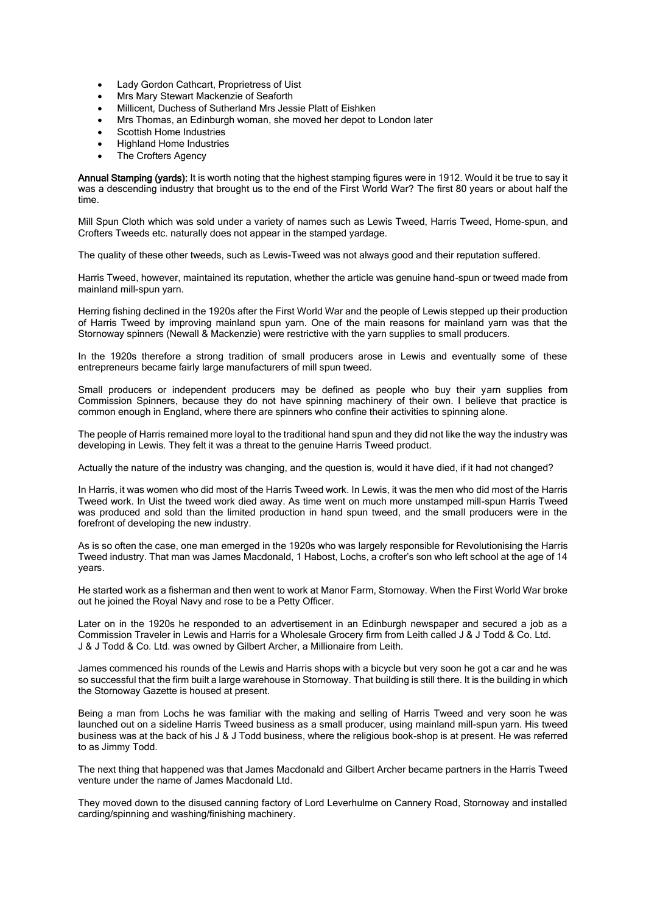- Lady Gordon Cathcart, Proprietress of Uist
- Mrs Mary Stewart Mackenzie of Seaforth
- Millicent, Duchess of Sutherland Mrs Jessie Platt of Eishken
- Mrs Thomas, an Edinburgh woman, she moved her depot to London later
- Scottish Home Industries
- Highland Home Industries
- The Crofters Agency

Annual Stamping (yards): It is worth noting that the highest stamping figures were in 1912. Would it be true to say it was a descending industry that brought us to the end of the First World War? The first 80 years or about half the time.

Mill Spun Cloth which was sold under a variety of names such as Lewis Tweed, Harris Tweed, Home-spun, and Crofters Tweeds etc. naturally does not appear in the stamped yardage.

The quality of these other tweeds, such as Lewis-Tweed was not always good and their reputation suffered.

Harris Tweed, however, maintained its reputation, whether the article was genuine hand-spun or tweed made from mainland mill-spun yarn.

Herring fishing declined in the 1920s after the First World War and the people of Lewis stepped up their production of Harris Tweed by improving mainland spun yarn. One of the main reasons for mainland yarn was that the Stornoway spinners (Newall & Mackenzie) were restrictive with the yarn supplies to small producers.

In the 1920s therefore a strong tradition of small producers arose in Lewis and eventually some of these entrepreneurs became fairly large manufacturers of mill spun tweed.

Small producers or independent producers may be defined as people who buy their yarn supplies from Commission Spinners, because they do not have spinning machinery of their own. I believe that practice is common enough in England, where there are spinners who confine their activities to spinning alone.

The people of Harris remained more loyal to the traditional hand spun and they did not like the way the industry was developing in Lewis. They felt it was a threat to the genuine Harris Tweed product.

Actually the nature of the industry was changing, and the question is, would it have died, if it had not changed?

In Harris, it was women who did most of the Harris Tweed work. In Lewis, it was the men who did most of the Harris Tweed work. In Uist the tweed work died away. As time went on much more unstamped mill-spun Harris Tweed was produced and sold than the limited production in hand spun tweed, and the small producers were in the forefront of developing the new industry.

As is so often the case, one man emerged in the 1920s who was largely responsible for Revolutionising the Harris Tweed industry. That man was James Macdonald, 1 Habost, Lochs, a crofter's son who left school at the age of 14 years.

He started work as a fisherman and then went to work at Manor Farm, Stornoway. When the First World War broke out he joined the Royal Navy and rose to be a Petty Officer.

Later on in the 1920s he responded to an advertisement in an Edinburgh newspaper and secured a job as a Commission Traveler in Lewis and Harris for a Wholesale Grocery firm from Leith called J & J Todd & Co. Ltd. J & J Todd & Co. Ltd. was owned by Gilbert Archer, a Millionaire from Leith.

James commenced his rounds of the Lewis and Harris shops with a bicycle but very soon he got a car and he was so successful that the firm built a large warehouse in Stornoway. That building is still there. It is the building in which the Stornoway Gazette is housed at present.

Being a man from Lochs he was familiar with the making and selling of Harris Tweed and very soon he was launched out on a sideline Harris Tweed business as a small producer, using mainland mill-spun yarn. His tweed business was at the back of his J & J Todd business, where the religious book-shop is at present. He was referred to as Jimmy Todd.

The next thing that happened was that James Macdonald and Gilbert Archer became partners in the Harris Tweed venture under the name of James Macdonald Ltd.

They moved down to the disused canning factory of Lord Leverhulme on Cannery Road, Stornoway and installed carding/spinning and washing/finishing machinery.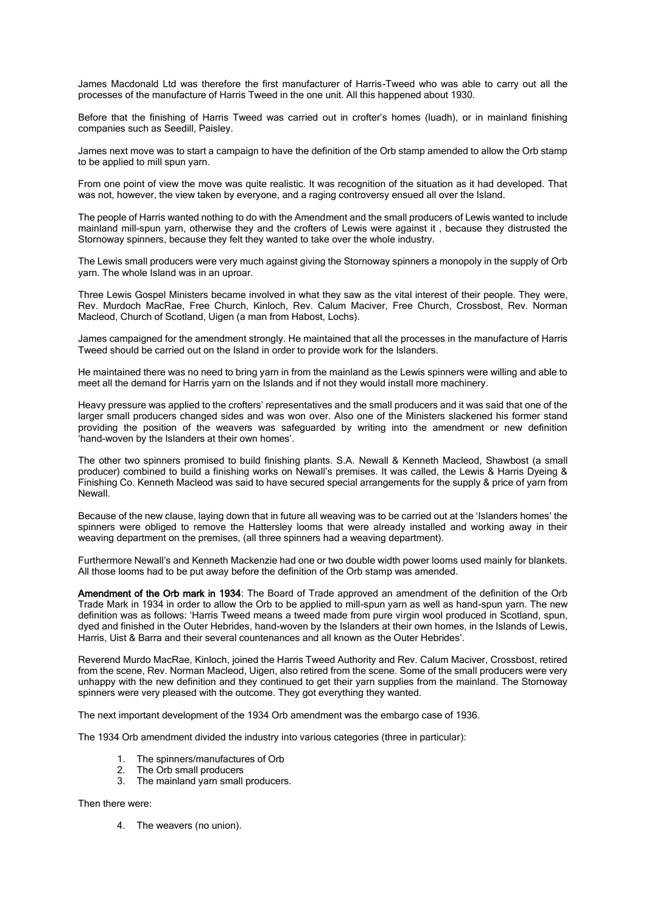James Macdonald Ltd was therefore the first manufacturer of Harris-Tweed who was able to carry out all the processes of the manufacture of Harris Tweed in the one unit. All this happened about 1930.

Before that the finishing of Harris Tweed was carried out in crofter's homes (luadh), or in mainland finishing companies such as Seedill, Paisley.

James next move was to start a campaign to have the definition of the Orb stamp amended to allow the Orb stamp to be applied to mill spun yarn.

From one point of view the move was quite realistic. It was recognition of the situation as it had developed. That was not, however, the view taken by everyone, and a raging controversy ensued all over the Island.

The people of Harris wanted nothing to do with the Amendment and the small producers of Lewis wanted to include mainland mill-spun yarn, otherwise they and the crofters of Lewis were against it , because they distrusted the Stornoway spinners, because they felt they wanted to take over the whole industry.

The Lewis small producers were very much against giving the Stornoway spinners a monopoly in the supply of Orb yarn. The whole Island was in an uproar.

Three Lewis Gospel Ministers became involved in what they saw as the vital interest of their people. They were, Rev. Murdoch MacRae, Free Church, Kinloch, Rev. Calum Maciver, Free Church, Crossbost, Rev. Norman Macleod, Church of Scotland, Uigen (a man from Habost, Lochs).

James campaigned for the amendment strongly. He maintained that all the processes in the manufacture of Harris Tweed should be carried out on the Island in order to provide work for the Islanders.

He maintained there was no need to bring yarn in from the mainland as the Lewis spinners were willing and able to meet all the demand for Harris yarn on the Islands and if not they would install more machinery.

Heavy pressure was applied to the crofters' representatives and the small producers and it was said that one of the larger small producers changed sides and was won over. Also one of the Ministers slackened his former stand providing the position of the weavers was safeguarded by writing into the amendment or new definition 'hand-woven by the Islanders at their own homes'.

The other two spinners promised to build finishing plants. S.A. Newall & Kenneth Macleod, Shawbost (a small producer) combined to build a finishing works on Newall's premises. It was called, the Lewis & Harris Dyeing & Finishing Co. Kenneth Macleod was said to have secured special arrangements for the supply & price of yarn from Newall.

Because of the new clause, laying down that in future all weaving was to be carried out at the 'Islanders homes' the spinners were obliged to remove the Hattersley looms that were already installed and working away in their weaving department on the premises, (all three spinners had a weaving department).

Furthermore Newall's and Kenneth Mackenzie had one or two double width power looms used mainly for blankets. All those looms had to be put away before the definition of the Orb stamp was amended.

Amendment of the Orb mark in 1934: The Board of Trade approved an amendment of the definition of the Orb Trade Mark in 1934 in order to allow the Orb to be applied to mill-spun yarn as well as hand-spun yarn. The new definition was as follows: 'Harris Tweed means a tweed made from pure virgin wool produced in Scotland, spun, dyed and finished in the Outer Hebrides, hand-woven by the Islanders at their own homes, in the Islands of Lewis, Harris, Uist & Barra and their several countenances and all known as the Outer Hebrides'.

Reverend Murdo MacRae, Kinloch, joined the Harris Tweed Authority and Rev. Calum Maciver, Crossbost, retired from the scene, Rev. Norman Macleod, Uigen, also retired from the scene. Some of the small producers were very unhappy with the new definition and they continued to get their yarn supplies from the mainland. The Stornoway spinners were very pleased with the outcome. They got everything they wanted.

The next important development of the 1934 Orb amendment was the embargo case of 1936.

The 1934 Orb amendment divided the industry into various categories (three in particular):

- 1. The spinners/manufactures of Orb
- 2. The Orb small producers<br>3. The mainland varn small
- The mainland yarn small producers.

Then there were:

4. The weavers (no union).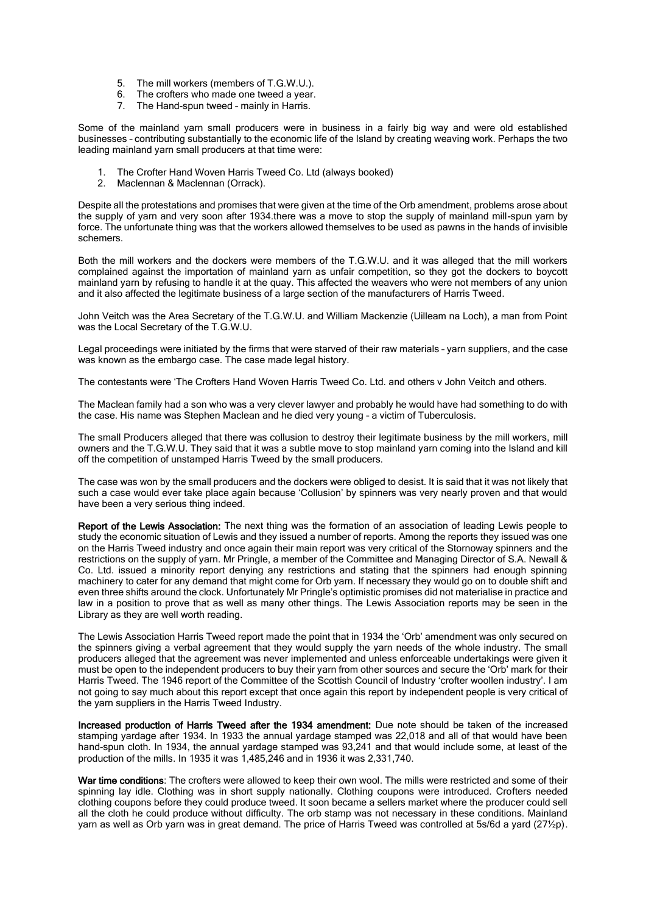- 5. The mill workers (members of T.G.W.U.).
- 6. The crofters who made one tweed a year.
- 7. The Hand-spun tweed mainly in Harris.

Some of the mainland yarn small producers were in business in a fairly big way and were old established businesses – contributing substantially to the economic life of the Island by creating weaving work. Perhaps the two leading mainland yarn small producers at that time were:

- 1. The Crofter Hand Woven Harris Tweed Co. Ltd (always booked)
- 2. Maclennan & Maclennan (Orrack).

Despite all the protestations and promises that were given at the time of the Orb amendment, problems arose about the supply of yarn and very soon after 1934.there was a move to stop the supply of mainland mill-spun yarn by force. The unfortunate thing was that the workers allowed themselves to be used as pawns in the hands of invisible schemers.

Both the mill workers and the dockers were members of the T.G.W.U. and it was alleged that the mill workers complained against the importation of mainland yarn as unfair competition, so they got the dockers to boycott mainland yarn by refusing to handle it at the quay. This affected the weavers who were not members of any union and it also affected the legitimate business of a large section of the manufacturers of Harris Tweed.

John Veitch was the Area Secretary of the T.G.W.U. and William Mackenzie (Uilleam na Loch), a man from Point was the Local Secretary of the T.G.W.U.

Legal proceedings were initiated by the firms that were starved of their raw materials – yarn suppliers, and the case was known as the embargo case. The case made legal history.

The contestants were 'The Crofters Hand Woven Harris Tweed Co. Ltd. and others v John Veitch and others.

The Maclean family had a son who was a very clever lawyer and probably he would have had something to do with the case. His name was Stephen Maclean and he died very young – a victim of Tuberculosis.

The small Producers alleged that there was collusion to destroy their legitimate business by the mill workers, mill owners and the T.G.W.U. They said that it was a subtle move to stop mainland yarn coming into the Island and kill off the competition of unstamped Harris Tweed by the small producers.

The case was won by the small producers and the dockers were obliged to desist. It is said that it was not likely that such a case would ever take place again because 'Collusion' by spinners was very nearly proven and that would have been a very serious thing indeed.

Report of the Lewis Association: The next thing was the formation of an association of leading Lewis people to study the economic situation of Lewis and they issued a number of reports. Among the reports they issued was one on the Harris Tweed industry and once again their main report was very critical of the Stornoway spinners and the restrictions on the supply of yarn. Mr Pringle, a member of the Committee and Managing Director of S.A. Newall & Co. Ltd. issued a minority report denying any restrictions and stating that the spinners had enough spinning machinery to cater for any demand that might come for Orb yarn. If necessary they would go on to double shift and even three shifts around the clock. Unfortunately Mr Pringle's optimistic promises did not materialise in practice and law in a position to prove that as well as many other things. The Lewis Association reports may be seen in the Library as they are well worth reading.

The Lewis Association Harris Tweed report made the point that in 1934 the 'Orb' amendment was only secured on the spinners giving a verbal agreement that they would supply the yarn needs of the whole industry. The small producers alleged that the agreement was never implemented and unless enforceable undertakings were given it must be open to the independent producers to buy their yarn from other sources and secure the 'Orb' mark for their Harris Tweed. The 1946 report of the Committee of the Scottish Council of Industry 'crofter woollen industry'. I am not going to say much about this report except that once again this report by independent people is very critical of the yarn suppliers in the Harris Tweed Industry.

Increased production of Harris Tweed after the 1934 amendment: Due note should be taken of the increased stamping yardage after 1934. In 1933 the annual yardage stamped was 22,018 and all of that would have been hand-spun cloth. In 1934, the annual yardage stamped was 93,241 and that would include some, at least of the production of the mills. In 1935 it was 1,485,246 and in 1936 it was 2,331,740.

War time conditions: The crofters were allowed to keep their own wool. The mills were restricted and some of their spinning lay idle. Clothing was in short supply nationally. Clothing coupons were introduced. Crofters needed clothing coupons before they could produce tweed. It soon became a sellers market where the producer could sell all the cloth he could produce without difficulty. The orb stamp was not necessary in these conditions. Mainland yarn as well as Orb yarn was in great demand. The price of Harris Tweed was controlled at 5s/6d a yard (27½p).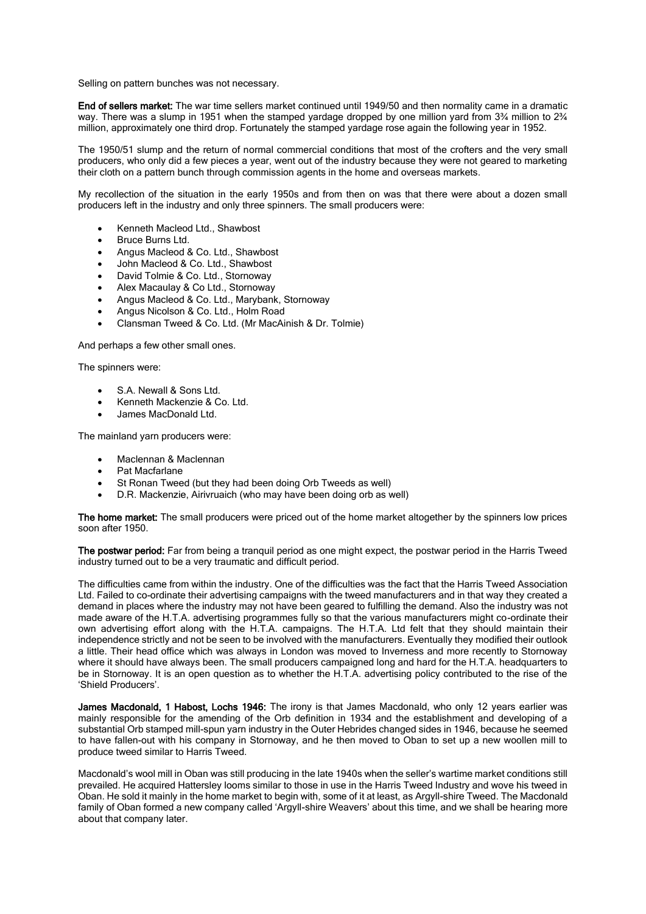Selling on pattern bunches was not necessary.

End of sellers market: The war time sellers market continued until 1949/50 and then normality came in a dramatic way. There was a slump in 1951 when the stamped yardage dropped by one million yard from 3¼ million to 2¼ million, approximately one third drop. Fortunately the stamped yardage rose again the following year in 1952.

The 1950/51 slump and the return of normal commercial conditions that most of the crofters and the very small producers, who only did a few pieces a year, went out of the industry because they were not geared to marketing their cloth on a pattern bunch through commission agents in the home and overseas markets.

My recollection of the situation in the early 1950s and from then on was that there were about a dozen small producers left in the industry and only three spinners. The small producers were:

- Kenneth Macleod Ltd., Shawbost
- Bruce Burns Ltd.
- Angus Macleod & Co. Ltd., Shawbost
- John Macleod & Co. Ltd., Shawbost
- David Tolmie & Co. Ltd., Stornoway
- Alex Macaulay & Co Ltd., Stornoway
- Angus Macleod & Co. Ltd., Marybank, Stornoway
- Angus Nicolson & Co. Ltd., Holm Road
- Clansman Tweed & Co. Ltd. (Mr MacAinish & Dr. Tolmie)

And perhaps a few other small ones.

The spinners were:

- S.A. Newall & Sons Ltd.
- Kenneth Mackenzie & Co. Ltd.
- James MacDonald Ltd.

The mainland yarn producers were:

- Maclennan & Maclennan
- Pat Macfarlane
- St Ronan Tweed (but they had been doing Orb Tweeds as well)
- D.R. Mackenzie, Airivruaich (who may have been doing orb as well)

The home market: The small producers were priced out of the home market altogether by the spinners low prices soon after 1950.

The postwar period: Far from being a tranquil period as one might expect, the postwar period in the Harris Tweed industry turned out to be a very traumatic and difficult period.

The difficulties came from within the industry. One of the difficulties was the fact that the Harris Tweed Association Ltd. Failed to co-ordinate their advertising campaigns with the tweed manufacturers and in that way they created a demand in places where the industry may not have been geared to fulfilling the demand. Also the industry was not made aware of the H.T.A. advertising programmes fully so that the various manufacturers might co-ordinate their own advertising effort along with the H.T.A. campaigns. The H.T.A. Ltd felt that they should maintain their independence strictly and not be seen to be involved with the manufacturers. Eventually they modified their outlook a little. Their head office which was always in London was moved to Inverness and more recently to Stornoway where it should have always been. The small producers campaigned long and hard for the H.T.A. headquarters to be in Stornoway. It is an open question as to whether the H.T.A. advertising policy contributed to the rise of the 'Shield Producers'.

James Macdonald, 1 Habost, Lochs 1946: The irony is that James Macdonald, who only 12 years earlier was mainly responsible for the amending of the Orb definition in 1934 and the establishment and developing of a substantial Orb stamped mill-spun yarn industry in the Outer Hebrides changed sides in 1946, because he seemed to have fallen-out with his company in Stornoway, and he then moved to Oban to set up a new woollen mill to produce tweed similar to Harris Tweed.

Macdonald's wool mill in Oban was still producing in the late 1940s when the seller's wartime market conditions still prevailed. He acquired Hattersley looms similar to those in use in the Harris Tweed Industry and wove his tweed in Oban. He sold it mainly in the home market to begin with, some of it at least, as Argyll-shire Tweed. The Macdonald family of Oban formed a new company called 'Argyll-shire Weavers' about this time, and we shall be hearing more about that company later.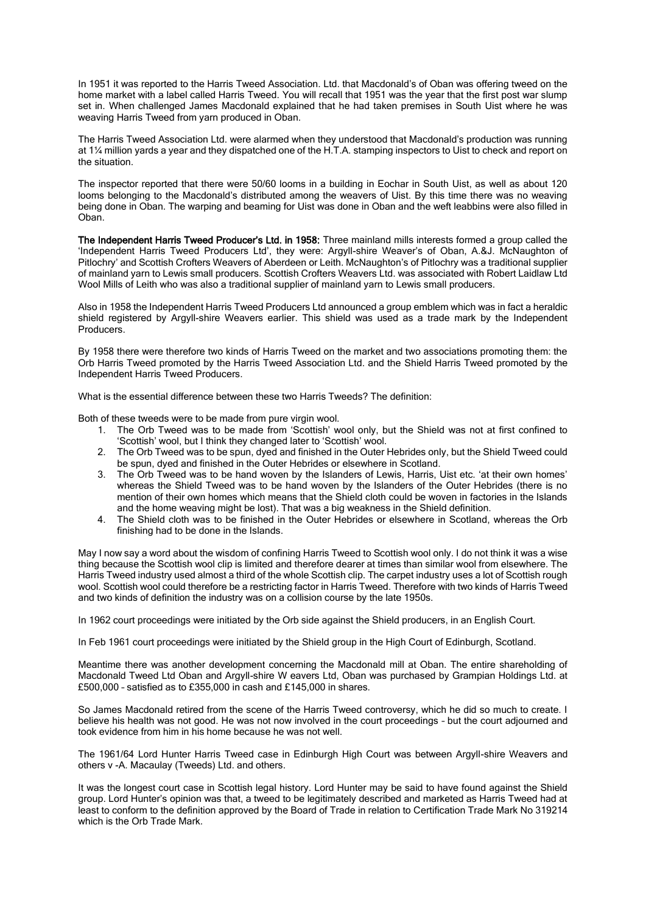In 1951 it was reported to the Harris Tweed Association. Ltd. that Macdonald's of Oban was offering tweed on the home market with a label called Harris Tweed. You will recall that 1951 was the year that the first post war slump set in. When challenged James Macdonald explained that he had taken premises in South Uist where he was weaving Harris Tweed from yarn produced in Oban.

The Harris Tweed Association Ltd. were alarmed when they understood that Macdonald's production was running at 1¼ million yards a year and they dispatched one of the H.T.A. stamping inspectors to Uist to check and report on the situation.

The inspector reported that there were 50/60 looms in a building in Eochar in South Uist, as well as about 120 looms belonging to the Macdonald's distributed among the weavers of Uist. By this time there was no weaving being done in Oban. The warping and beaming for Uist was done in Oban and the weft leabbins were also filled in Oban.

The Independent Harris Tweed Producer's Ltd. in 1958: Three mainland mills interests formed a group called the 'Independent Harris Tweed Producers Ltd', they were: Argyll-shire Weaver's of Oban, A.&J. McNaughton of Pitlochry' and Scottish Crofters Weavers of Aberdeen or Leith. McNaughton's of Pitlochry was a traditional supplier of mainland yarn to Lewis small producers. Scottish Crofters Weavers Ltd. was associated with Robert Laidlaw Ltd Wool Mills of Leith who was also a traditional supplier of mainland yarn to Lewis small producers.

Also in 1958 the Independent Harris Tweed Producers Ltd announced a group emblem which was in fact a heraldic shield registered by Argyll-shire Weavers earlier. This shield was used as a trade mark by the Independent Producers.

By 1958 there were therefore two kinds of Harris Tweed on the market and two associations promoting them: the Orb Harris Tweed promoted by the Harris Tweed Association Ltd. and the Shield Harris Tweed promoted by the Independent Harris Tweed Producers.

What is the essential difference between these two Harris Tweeds? The definition:

Both of these tweeds were to be made from pure virgin wool.

- 1. The Orb Tweed was to be made from 'Scottish' wool only, but the Shield was not at first confined to 'Scottish' wool, but I think they changed later to 'Scottish' wool.
- 2. The Orb Tweed was to be spun, dyed and finished in the Outer Hebrides only, but the Shield Tweed could be spun, dyed and finished in the Outer Hebrides or elsewhere in Scotland.
- 3. The Orb Tweed was to be hand woven by the Islanders of Lewis, Harris, Uist etc. 'at their own homes' whereas the Shield Tweed was to be hand woven by the Islanders of the Outer Hebrides (there is no mention of their own homes which means that the Shield cloth could be woven in factories in the Islands and the home weaving might be lost). That was a big weakness in the Shield definition.
- 4. The Shield cloth was to be finished in the Outer Hebrides or elsewhere in Scotland, whereas the Orb finishing had to be done in the Islands.

May I now say a word about the wisdom of confining Harris Tweed to Scottish wool only. I do not think it was a wise thing because the Scottish wool clip is limited and therefore dearer at times than similar wool from elsewhere. The Harris Tweed industry used almost a third of the whole Scottish clip. The carpet industry uses a lot of Scottish rough wool. Scottish wool could therefore be a restricting factor in Harris Tweed. Therefore with two kinds of Harris Tweed and two kinds of definition the industry was on a collision course by the late 1950s.

In 1962 court proceedings were initiated by the Orb side against the Shield producers, in an English Court.

In Feb 1961 court proceedings were initiated by the Shield group in the High Court of Edinburgh, Scotland.

Meantime there was another development concerning the Macdonald mill at Oban. The entire shareholding of Macdonald Tweed Ltd Oban and Argyll-shire W eavers Ltd, Oban was purchased by Grampian Holdings Ltd. at £500,000 – satisfied as to £355,000 in cash and £145,000 in shares.

So James Macdonald retired from the scene of the Harris Tweed controversy, which he did so much to create. I believe his health was not good. He was not now involved in the court proceedings – but the court adjourned and took evidence from him in his home because he was not well.

The 1961/64 Lord Hunter Harris Tweed case in Edinburgh High Court was between Argyll-shire Weavers and others v -A. Macaulay (Tweeds) Ltd. and others.

It was the longest court case in Scottish legal history. Lord Hunter may be said to have found against the Shield group. Lord Hunter's opinion was that, a tweed to be legitimately described and marketed as Harris Tweed had at least to conform to the definition approved by the Board of Trade in relation to Certification Trade Mark No 319214 which is the Orb Trade Mark.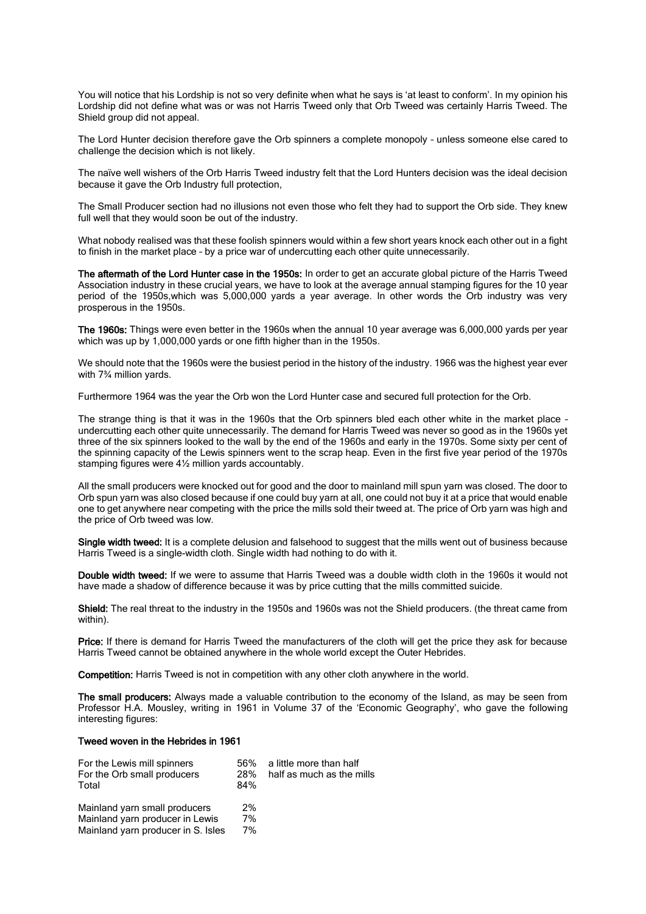You will notice that his Lordship is not so very definite when what he says is 'at least to conform'. In my opinion his Lordship did not define what was or was not Harris Tweed only that Orb Tweed was certainly Harris Tweed. The Shield group did not appeal.

The Lord Hunter decision therefore gave the Orb spinners a complete monopoly – unless someone else cared to challenge the decision which is not likely.

The naïve well wishers of the Orb Harris Tweed industry felt that the Lord Hunters decision was the ideal decision because it gave the Orb Industry full protection,

The Small Producer section had no illusions not even those who felt they had to support the Orb side. They knew full well that they would soon be out of the industry.

What nobody realised was that these foolish spinners would within a few short years knock each other out in a fight to finish in the market place – by a price war of undercutting each other quite unnecessarily.

The aftermath of the Lord Hunter case in the 1950s: In order to get an accurate global picture of the Harris Tweed Association industry in these crucial years, we have to look at the average annual stamping figures for the 10 year period of the 1950s,which was 5,000,000 yards a year average. In other words the Orb industry was very prosperous in the 1950s.

The 1960s: Things were even better in the 1960s when the annual 10 year average was 6,000,000 yards per year which was up by 1,000,000 yards or one fifth higher than in the 1950s.

We should note that the 1960s were the busiest period in the history of the industry. 1966 was the highest year ever with 7¾ million yards.

Furthermore 1964 was the year the Orb won the Lord Hunter case and secured full protection for the Orb.

The strange thing is that it was in the 1960s that the Orb spinners bled each other white in the market place – undercutting each other quite unnecessarily. The demand for Harris Tweed was never so good as in the 1960s yet three of the six spinners looked to the wall by the end of the 1960s and early in the 1970s. Some sixty per cent of the spinning capacity of the Lewis spinners went to the scrap heap. Even in the first five year period of the 1970s stamping figures were 4½ million yards accountably.

All the small producers were knocked out for good and the door to mainland mill spun yarn was closed. The door to Orb spun yarn was also closed because if one could buy yarn at all, one could not buy it at a price that would enable one to get anywhere near competing with the price the mills sold their tweed at. The price of Orb yarn was high and the price of Orb tweed was low.

Single width tweed: It is a complete delusion and falsehood to suggest that the mills went out of business because Harris Tweed is a single-width cloth. Single width had nothing to do with it.

Double width tweed: If we were to assume that Harris Tweed was a double width cloth in the 1960s it would not have made a shadow of difference because it was by price cutting that the mills committed suicide.

Shield: The real threat to the industry in the 1950s and 1960s was not the Shield producers. (the threat came from within).

Price: If there is demand for Harris Tweed the manufacturers of the cloth will get the price they ask for because Harris Tweed cannot be obtained anywhere in the whole world except the Outer Hebrides.

Competition: Harris Tweed is not in competition with any other cloth anywhere in the world.

The small producers: Always made a valuable contribution to the economy of the Island, as may be seen from Professor H.A. Mousley, writing in 1961 in Volume 37 of the 'Economic Geography', who gave the following interesting figures:

## Tweed woven in the Hebrides in 1961

| For the Lewis mill spinners        | .56% | a little more than half   |
|------------------------------------|------|---------------------------|
| For the Orb small producers        | 28%  | half as much as the mills |
| Total                              | 84%  |                           |
| Mainland yarn small producers      | 2%   |                           |
| Mainland yarn producer in Lewis    | 7%   |                           |
| Mainland yarn producer in S. Isles | 7%   |                           |
|                                    |      |                           |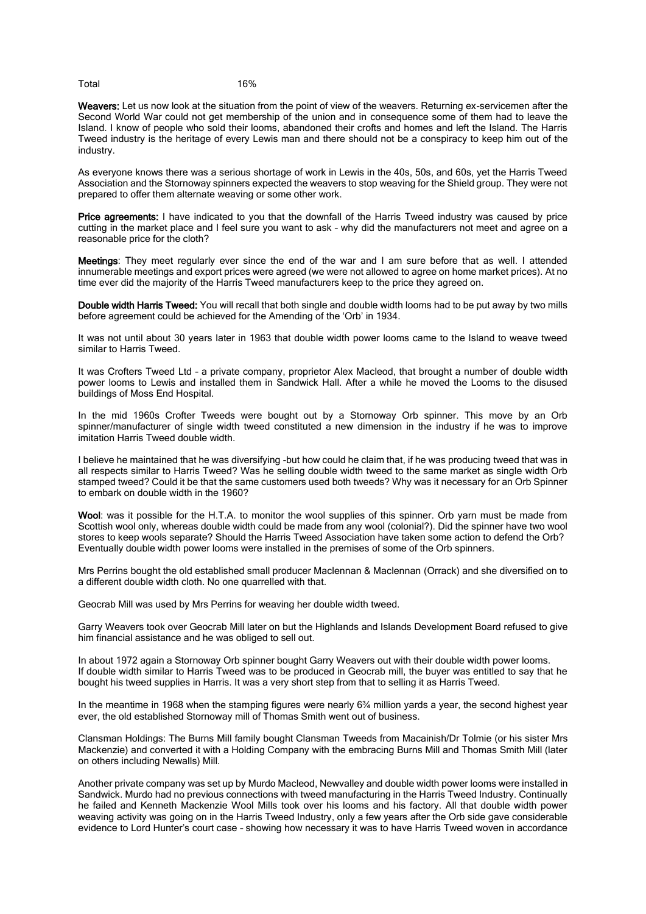Total 16%

Weavers: Let us now look at the situation from the point of view of the weavers. Returning ex-servicemen after the Second World War could not get membership of the union and in consequence some of them had to leave the Island. I know of people who sold their looms, abandoned their crofts and homes and left the Island. The Harris Tweed industry is the heritage of every Lewis man and there should not be a conspiracy to keep him out of the industry.

As everyone knows there was a serious shortage of work in Lewis in the 40s, 50s, and 60s, yet the Harris Tweed Association and the Stornoway spinners expected the weavers to stop weaving for the Shield group. They were not prepared to offer them alternate weaving or some other work.

Price agreements: I have indicated to you that the downfall of the Harris Tweed industry was caused by price cutting in the market place and I feel sure you want to ask – why did the manufacturers not meet and agree on a reasonable price for the cloth?

Meetings: They meet regularly ever since the end of the war and I am sure before that as well. I attended innumerable meetings and export prices were agreed (we were not allowed to agree on home market prices). At no time ever did the majority of the Harris Tweed manufacturers keep to the price they agreed on.

Double width Harris Tweed: You will recall that both single and double width looms had to be put away by two mills before agreement could be achieved for the Amending of the 'Orb' in 1934.

It was not until about 30 years later in 1963 that double width power looms came to the Island to weave tweed similar to Harris Tweed.

It was Crofters Tweed Ltd – a private company, proprietor Alex Macleod, that brought a number of double width power looms to Lewis and installed them in Sandwick Hall. After a while he moved the Looms to the disused buildings of Moss End Hospital.

In the mid 1960s Crofter Tweeds were bought out by a Stornoway Orb spinner. This move by an Orb spinner/manufacturer of single width tweed constituted a new dimension in the industry if he was to improve imitation Harris Tweed double width.

I believe he maintained that he was diversifying -but how could he claim that, if he was producing tweed that was in all respects similar to Harris Tweed? Was he selling double width tweed to the same market as single width Orb stamped tweed? Could it be that the same customers used both tweeds? Why was it necessary for an Orb Spinner to embark on double width in the 1960?

Wool: was it possible for the H.T.A. to monitor the wool supplies of this spinner. Orb varn must be made from Scottish wool only, whereas double width could be made from any wool (colonial?). Did the spinner have two wool stores to keep wools separate? Should the Harris Tweed Association have taken some action to defend the Orb? Eventually double width power looms were installed in the premises of some of the Orb spinners.

Mrs Perrins bought the old established small producer Maclennan & Maclennan (Orrack) and she diversified on to a different double width cloth. No one quarrelled with that.

Geocrab Mill was used by Mrs Perrins for weaving her double width tweed.

Garry Weavers took over Geocrab Mill later on but the Highlands and Islands Development Board refused to give him financial assistance and he was obliged to sell out.

In about 1972 again a Stornoway Orb spinner bought Garry Weavers out with their double width power looms. If double width similar to Harris Tweed was to be produced in Geocrab mill, the buyer was entitled to say that he bought his tweed supplies in Harris. It was a very short step from that to selling it as Harris Tweed.

In the meantime in 1968 when the stamping figures were nearly 6<sup>3</sup>/<sub>4</sub> million yards a year, the second highest year ever, the old established Stornoway mill of Thomas Smith went out of business.

Clansman Holdings: The Burns Mill family bought Clansman Tweeds from Macainish/Dr Tolmie (or his sister Mrs Mackenzie) and converted it with a Holding Company with the embracing Burns Mill and Thomas Smith Mill (later on others including Newalls) Mill.

Another private company was set up by Murdo Macleod, Newvalley and double width power looms were installed in Sandwick. Murdo had no previous connections with tweed manufacturing in the Harris Tweed Industry. Continually he failed and Kenneth Mackenzie Wool Mills took over his looms and his factory. All that double width power weaving activity was going on in the Harris Tweed Industry, only a few years after the Orb side gave considerable evidence to Lord Hunter's court case – showing how necessary it was to have Harris Tweed woven in accordance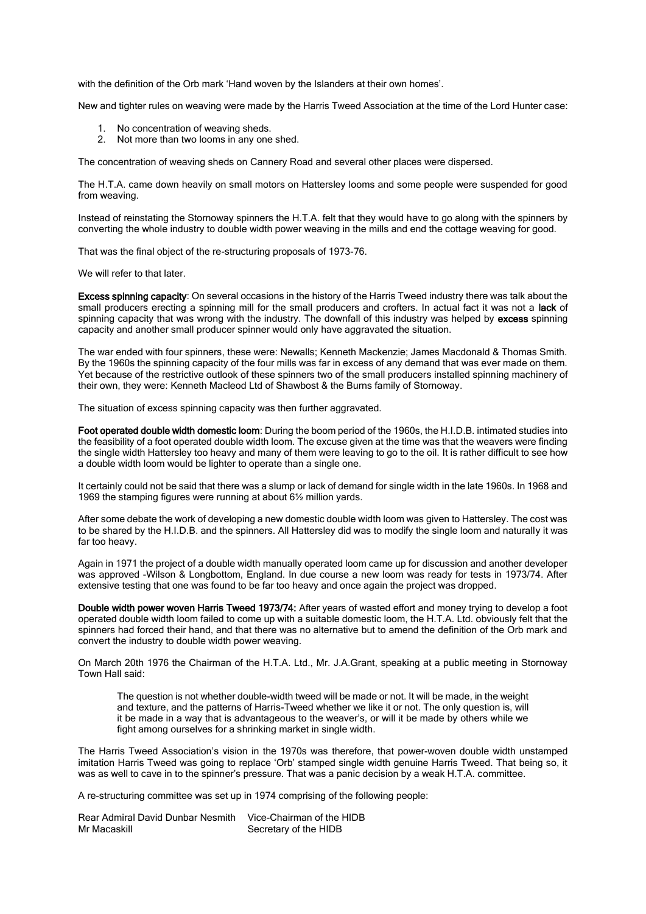with the definition of the Orb mark 'Hand woven by the Islanders at their own homes'.

New and tighter rules on weaving were made by the Harris Tweed Association at the time of the Lord Hunter case:

- 1. No concentration of weaving sheds.
- 2. Not more than two looms in any one shed.

The concentration of weaving sheds on Cannery Road and several other places were dispersed.

The H.T.A. came down heavily on small motors on Hattersley looms and some people were suspended for good from weaving.

Instead of reinstating the Stornoway spinners the H.T.A. felt that they would have to go along with the spinners by converting the whole industry to double width power weaving in the mills and end the cottage weaving for good.

That was the final object of the re-structuring proposals of 1973-76.

We will refer to that later.

Excess spinning capacity: On several occasions in the history of the Harris Tweed industry there was talk about the small producers erecting a spinning mill for the small producers and crofters. In actual fact it was not a lack of spinning capacity that was wrong with the industry. The downfall of this industry was helped by excess spinning capacity and another small producer spinner would only have aggravated the situation.

The war ended with four spinners, these were: Newalls; Kenneth Mackenzie; James Macdonald & Thomas Smith. By the 1960s the spinning capacity of the four mills was far in excess of any demand that was ever made on them. Yet because of the restrictive outlook of these spinners two of the small producers installed spinning machinery of their own, they were: Kenneth Macleod Ltd of Shawbost & the Burns family of Stornoway.

The situation of excess spinning capacity was then further aggravated.

Foot operated double width domestic loom: During the boom period of the 1960s, the H.I.D.B. intimated studies into the feasibility of a foot operated double width loom. The excuse given at the time was that the weavers were finding the single width Hattersley too heavy and many of them were leaving to go to the oil. It is rather difficult to see how a double width loom would be lighter to operate than a single one.

It certainly could not be said that there was a slump or lack of demand for single width in the late 1960s. In 1968 and 1969 the stamping figures were running at about 6½ million yards.

After some debate the work of developing a new domestic double width loom was given to Hattersley. The cost was to be shared by the H.I.D.B. and the spinners. All Hattersley did was to modify the single loom and naturally it was far too heavy.

Again in 1971 the project of a double width manually operated loom came up for discussion and another developer was approved -Wilson & Longbottom, England. In due course a new loom was ready for tests in 1973/74. After extensive testing that one was found to be far too heavy and once again the project was dropped.

Double width power woven Harris Tweed 1973/74: After years of wasted effort and money trying to develop a foot operated double width loom failed to come up with a suitable domestic loom, the H.T.A. Ltd. obviously felt that the spinners had forced their hand, and that there was no alternative but to amend the definition of the Orb mark and convert the industry to double width power weaving.

On March 20th 1976 the Chairman of the H.T.A. Ltd., Mr. J.A.Grant, speaking at a public meeting in Stornoway Town Hall said:

The question is not whether double-width tweed will be made or not. It will be made, in the weight and texture, and the patterns of Harris-Tweed whether we like it or not. The only question is, will it be made in a way that is advantageous to the weaver's, or will it be made by others while we fight among ourselves for a shrinking market in single width.

The Harris Tweed Association's vision in the 1970s was therefore, that power-woven double width unstamped imitation Harris Tweed was going to replace 'Orb' stamped single width genuine Harris Tweed. That being so, it was as well to cave in to the spinner's pressure. That was a panic decision by a weak H.T.A. committee.

A re-structuring committee was set up in 1974 comprising of the following people:

Rear Admiral David Dunbar Nesmith Vice-Chairman of the HIDB<br>Mr Macaskill Secretary of the HIDB Secretary of the HIDB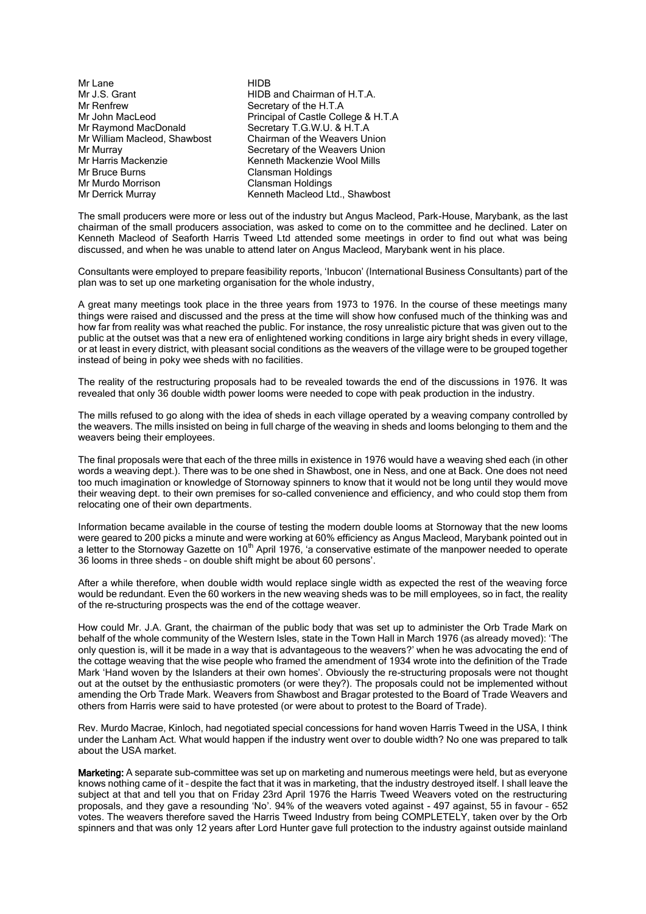| Mr Lane                      | <b>HIDB</b>                          |
|------------------------------|--------------------------------------|
| Mr J.S. Grant                | HIDB and Chairman of H.T.A.          |
| Mr Renfrew                   | Secretary of the H.T.A               |
| Mr John MacLeod              | Principal of Castle College & H.T.A  |
| Mr Raymond MacDonald         | Secretary T.G.W.U. & H.T.A           |
| Mr William Macleod, Shawbost | <b>Chairman of the Weavers Union</b> |
| Mr Murray                    | Secretary of the Weavers Union       |
| Mr Harris Mackenzie          | Kenneth Mackenzie Wool Mills         |
| Mr Bruce Burns               | Clansman Holdings                    |
| Mr Murdo Morrison            | Clansman Holdings                    |
| Mr Derrick Murray            | Kenneth Macleod Ltd., Shawbost       |
|                              |                                      |

The small producers were more or less out of the industry but Angus Macleod, Park-House, Marybank, as the last chairman of the small producers association, was asked to come on to the committee and he declined. Later on Kenneth Macleod of Seaforth Harris Tweed Ltd attended some meetings in order to find out what was being discussed, and when he was unable to attend later on Angus Macleod, Marybank went in his place.

Consultants were employed to prepare feasibility reports, 'Inbucon' (International Business Consultants) part of the plan was to set up one marketing organisation for the whole industry,

A great many meetings took place in the three years from 1973 to 1976. In the course of these meetings many things were raised and discussed and the press at the time will show how confused much of the thinking was and how far from reality was what reached the public. For instance, the rosy unrealistic picture that was given out to the public at the outset was that a new era of enlightened working conditions in large airy bright sheds in every village, or at least in every district, with pleasant social conditions as the weavers of the village were to be grouped together instead of being in poky wee sheds with no facilities.

The reality of the restructuring proposals had to be revealed towards the end of the discussions in 1976. It was revealed that only 36 double width power looms were needed to cope with peak production in the industry.

The mills refused to go along with the idea of sheds in each village operated by a weaving company controlled by the weavers. The mills insisted on being in full charge of the weaving in sheds and looms belonging to them and the weavers being their employees.

The final proposals were that each of the three mills in existence in 1976 would have a weaving shed each (in other words a weaving dept.). There was to be one shed in Shawbost, one in Ness, and one at Back. One does not need too much imagination or knowledge of Stornoway spinners to know that it would not be long until they would move their weaving dept. to their own premises for so-called convenience and efficiency, and who could stop them from relocating one of their own departments.

Information became available in the course of testing the modern double looms at Stornoway that the new looms were geared to 200 picks a minute and were working at 60% efficiency as Angus Macleod, Marybank pointed out in a letter to the Stornoway Gazette on 10<sup>th</sup> April 1976, 'a conservative estimate of the manpower needed to operate 36 looms in three sheds – on double shift might be about 60 persons'.

After a while therefore, when double width would replace single width as expected the rest of the weaving force would be redundant. Even the 60 workers in the new weaving sheds was to be mill employees, so in fact, the reality of the re-structuring prospects was the end of the cottage weaver.

How could Mr. J.A. Grant, the chairman of the public body that was set up to administer the Orb Trade Mark on behalf of the whole community of the Western Isles, state in the Town Hall in March 1976 (as already moved): 'The only question is, will it be made in a way that is advantageous to the weavers?' when he was advocating the end of the cottage weaving that the wise people who framed the amendment of 1934 wrote into the definition of the Trade Mark 'Hand woven by the Islanders at their own homes'. Obviously the re-structuring proposals were not thought out at the outset by the enthusiastic promoters (or were they?). The proposals could not be implemented without amending the Orb Trade Mark. Weavers from Shawbost and Bragar protested to the Board of Trade Weavers and others from Harris were said to have protested (or were about to protest to the Board of Trade).

Rev. Murdo Macrae, Kinloch, had negotiated special concessions for hand woven Harris Tweed in the USA, I think under the Lanham Act. What would happen if the industry went over to double width? No one was prepared to talk about the USA market.

Marketing: A separate sub-committee was set up on marketing and numerous meetings were held, but as everyone knows nothing came of it – despite the fact that it was in marketing, that the industry destroyed itself. I shall leave the subject at that and tell you that on Friday 23rd April 1976 the Harris Tweed Weavers voted on the restructuring proposals, and they gave a resounding 'No'. 94% of the weavers voted against - 497 against, 55 in favour – 652 votes. The weavers therefore saved the Harris Tweed Industry from being COMPLETELY, taken over by the Orb spinners and that was only 12 years after Lord Hunter gave full protection to the industry against outside mainland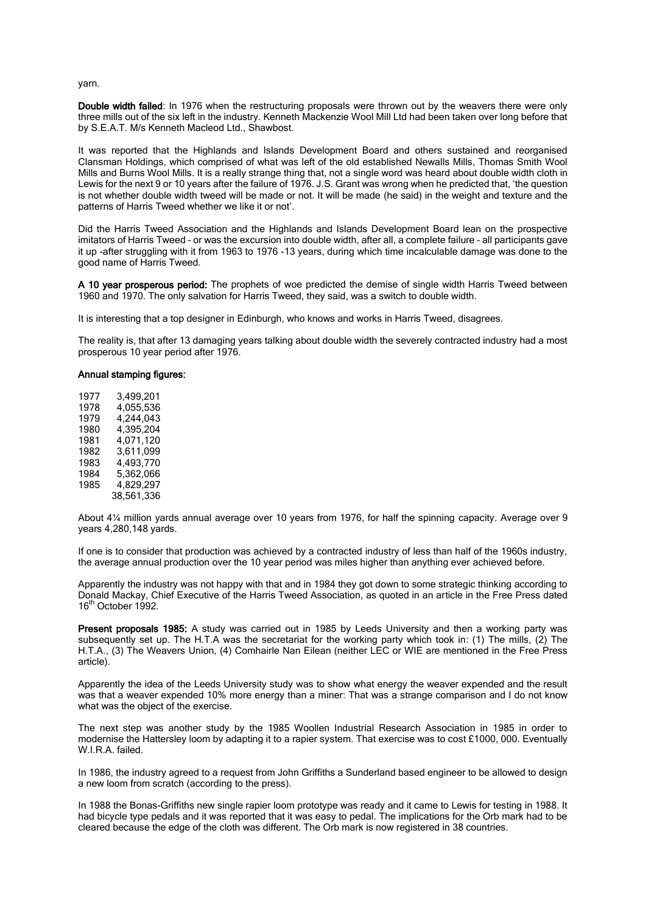yarn.

Double width failed: In 1976 when the restructuring proposals were thrown out by the weavers there were only three mills out of the six left in the industry. Kenneth Mackenzie Wool Mill Ltd had been taken over long before that by S.E.A.T. M/s Kenneth Macleod Ltd., Shawbost.

It was reported that the Highlands and Islands Development Board and others sustained and reorganised Clansman Holdings, which comprised of what was left of the old established Newalls Mills, Thomas Smith Wool Mills and Burns Wool Mills. It is a really strange thing that, not a single word was heard about double width cloth in Lewis for the next 9 or 10 years after the failure of 1976. J.S. Grant was wrong when he predicted that, 'the question is not whether double width tweed will be made or not. It will be made (he said) in the weight and texture and the patterns of Harris Tweed whether we like it or not'.

Did the Harris Tweed Association and the Highlands and Islands Development Board lean on the prospective imitators of Harris Tweed – or was the excursion into double width, after all, a complete failure – all participants gave it up -after struggling with it from 1963 to 1976 -13 years, during which time incalculable damage was done to the good name of Harris Tweed.

A 10 year prosperous period: The prophets of woe predicted the demise of single width Harris Tweed between 1960 and 1970. The only salvation for Harris Tweed, they said, was a switch to double width.

It is interesting that a top designer in Edinburgh, who knows and works in Harris Tweed, disagrees.

The reality is, that after 13 damaging years talking about double width the severely contracted industry had a most prosperous 10 year period after 1976.

### Annual stamping figures:

1977 3,499,201 1978 4,055,536 4,244,043 1980 4,395,204 1981 4,071,120 1982 3,611,099 1983 4,493,770<br>1984 5.362.066 1984 5,362,066 4.829.297 38,561,336

About 4¼ million yards annual average over 10 years from 1976, for half the spinning capacity. Average over 9 years 4,280,148 yards.

If one is to consider that production was achieved by a contracted industry of less than half of the 1960s industry, the average annual production over the 10 year period was miles higher than anything ever achieved before.

Apparently the industry was not happy with that and in 1984 they got down to some strategic thinking according to Donald Mackay, Chief Executive of the Harris Tweed Association, as quoted in an article in the Free Press dated 16<sup>th</sup> October 1992.

Present proposals 1985: A study was carried out in 1985 by Leeds University and then a working party was subsequently set up. The H.T.A was the secretariat for the working party which took in: (1) The mills, (2) The H.T.A., (3) The Weavers Union, (4) Comhairle Nan Eilean (neither LEC or WIE are mentioned in the Free Press article).

Apparently the idea of the Leeds University study was to show what energy the weaver expended and the result was that a weaver expended 10% more energy than a miner: That was a strange comparison and I do not know what was the object of the exercise.

The next step was another study by the 1985 Woollen Industrial Research Association in 1985 in order to modernise the Hattersley loom by adapting it to a rapier system. That exercise was to cost £1000, 000. Eventually W.I.R.A. failed.

In 1986, the industry agreed to a request from John Griffiths a Sunderland based engineer to be allowed to design a new loom from scratch (according to the press).

In 1988 the Bonas-Griffiths new single rapier loom prototype was ready and it came to Lewis for testing in 1988. It had bicycle type pedals and it was reported that it was easy to pedal. The implications for the Orb mark had to be cleared because the edge of the cloth was different. The Orb mark is now registered in 38 countries.